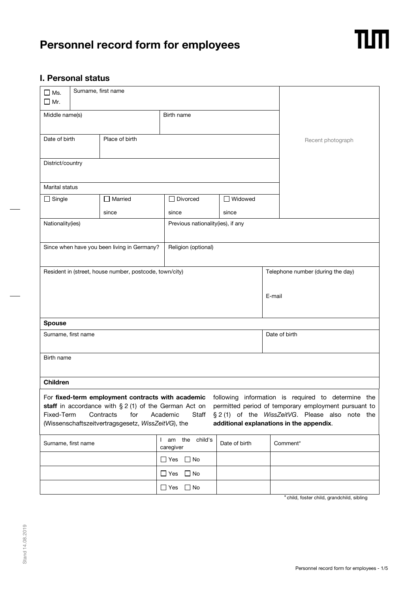# **Personnel record form for employees**



## **I. Personal status**

| $\square$ Ms.<br>$\Box$ Mr. | Surname, first name             |                                                                        |                                   |               |        |                                                                                                                                                                                                                                                                                                                      |  |
|-----------------------------|---------------------------------|------------------------------------------------------------------------|-----------------------------------|---------------|--------|----------------------------------------------------------------------------------------------------------------------------------------------------------------------------------------------------------------------------------------------------------------------------------------------------------------------|--|
| Middle name(s)              |                                 |                                                                        | Birth name                        |               |        |                                                                                                                                                                                                                                                                                                                      |  |
|                             |                                 |                                                                        |                                   |               |        |                                                                                                                                                                                                                                                                                                                      |  |
|                             | Date of birth<br>Place of birth |                                                                        |                                   |               |        | Recent photograph                                                                                                                                                                                                                                                                                                    |  |
| District/country            |                                 |                                                                        |                                   |               |        |                                                                                                                                                                                                                                                                                                                      |  |
| Marital status              |                                 |                                                                        |                                   |               |        |                                                                                                                                                                                                                                                                                                                      |  |
| $\Box$ Single               |                                 | $\Box$ Married                                                         | $\Box$ Divorced                   | □ Widowed     |        |                                                                                                                                                                                                                                                                                                                      |  |
|                             | since                           |                                                                        | since                             | since         |        |                                                                                                                                                                                                                                                                                                                      |  |
| Nationality(ies)            |                                 |                                                                        | Previous nationality(ies), if any |               |        |                                                                                                                                                                                                                                                                                                                      |  |
|                             |                                 |                                                                        |                                   |               |        |                                                                                                                                                                                                                                                                                                                      |  |
|                             |                                 | Since when have you been living in Germany?                            | Religion (optional)               |               |        |                                                                                                                                                                                                                                                                                                                      |  |
|                             |                                 | Resident in (street, house number, postcode, town/city)                |                                   |               |        | Telephone number (during the day)                                                                                                                                                                                                                                                                                    |  |
|                             |                                 |                                                                        |                                   |               |        |                                                                                                                                                                                                                                                                                                                      |  |
|                             |                                 |                                                                        |                                   |               | E-mail |                                                                                                                                                                                                                                                                                                                      |  |
|                             |                                 |                                                                        |                                   |               |        |                                                                                                                                                                                                                                                                                                                      |  |
|                             |                                 |                                                                        |                                   |               |        |                                                                                                                                                                                                                                                                                                                      |  |
| <b>Spouse</b>               | Surname, first name             |                                                                        |                                   |               |        | Date of birth                                                                                                                                                                                                                                                                                                        |  |
|                             |                                 |                                                                        |                                   |               |        |                                                                                                                                                                                                                                                                                                                      |  |
| Birth name                  |                                 |                                                                        |                                   |               |        |                                                                                                                                                                                                                                                                                                                      |  |
|                             |                                 |                                                                        |                                   |               |        |                                                                                                                                                                                                                                                                                                                      |  |
| <b>Children</b>             |                                 |                                                                        |                                   |               |        |                                                                                                                                                                                                                                                                                                                      |  |
| Fixed-Term                  |                                 | Contracts<br>for<br>(Wissenschaftszeitvertragsgesetz, WissZeitVG), the | Academic<br>Staff                 |               |        | For fixed-term employment contracts with academic following information is required to determine the<br>staff in accordance with $\S 2$ (1) of the German Act on permitted period of temporary employment pursuant to<br>§ 2 (1) of the WissZeitVG. Please also note the<br>additional explanations in the appendix. |  |
|                             | Surname, first name             |                                                                        | I am the child's<br>caregiver     | Date of birth |        | Comment*                                                                                                                                                                                                                                                                                                             |  |
|                             |                                 |                                                                        | $\Box$ No<br>$\Box$ Yes           |               |        |                                                                                                                                                                                                                                                                                                                      |  |
|                             |                                 |                                                                        | $\Box$ No<br>$\Box$ Yes           |               |        |                                                                                                                                                                                                                                                                                                                      |  |
|                             |                                 |                                                                        | $\Box$ No<br>$\square$ Yes        |               |        |                                                                                                                                                                                                                                                                                                                      |  |

\* child, foster child, grandchild, sibling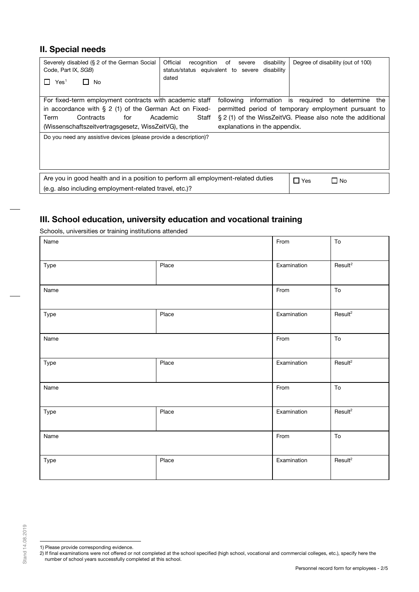## **II. Special needs**

| Severely disabled (§ 2 of the German Social<br>Code, Part IX, SGB)<br>Yes <sup>1</sup><br>No                                                                                                                                                                                                                                                                                                                                                | Official<br>disability<br>recognition<br>of<br>severe<br>status/status equivalent to severe<br>disability<br>dated | Degree of disability (out of 100) |  |  |  |
|---------------------------------------------------------------------------------------------------------------------------------------------------------------------------------------------------------------------------------------------------------------------------------------------------------------------------------------------------------------------------------------------------------------------------------------------|--------------------------------------------------------------------------------------------------------------------|-----------------------------------|--|--|--|
| For fixed-term employment contracts with academic staff<br>following information is required to determine<br>the<br>in accordance with $\S 2$ (1) of the German Act on Fixed-<br>permitted period of temporary employment pursuant to<br>§ 2 (1) of the WissZeitVG. Please also note the additional<br>Contracts<br>Academic<br>Staff<br>Term<br>for<br>(Wissenschaftszeitvertragsgesetz, WissZeitVG), the<br>explanations in the appendix. |                                                                                                                    |                                   |  |  |  |
| Do you need any assistive devices (please provide a description)?                                                                                                                                                                                                                                                                                                                                                                           |                                                                                                                    |                                   |  |  |  |
| Are you in good health and in a position to perform all employment-related duties<br>(e.g. also including employment-related travel, etc.)?                                                                                                                                                                                                                                                                                                 |                                                                                                                    | $\Box$ Yes<br>$\Box$ No           |  |  |  |

# **III. School education, university education and vocational training**

Schools, universities or training institutions attended

| Name |       | From        | ${\sf To}$          |
|------|-------|-------------|---------------------|
| Type | Place | Examination | Result <sup>2</sup> |
| Name |       | From        | ${\sf To}$          |
| Type | Place | Examination | Result <sup>2</sup> |
| Name |       | From        | ${\sf To}$          |
| Type | Place | Examination | Result <sup>2</sup> |
| Name |       | From        | ${\sf To}$          |
| Type | Place | Examination | Result <sup>2</sup> |
| Name |       | From        | ${\sf To}$          |
| Type | Place | Examination | Result <sup>2</sup> |

<sup>1)</sup> Please provide corresponding evidence.

<span id="page-1-1"></span><span id="page-1-0"></span><sup>2)</sup> If final examinations were not offered or not completed at the school specified (high school, vocational and commercial colleges, etc.), specify here the number of school years successfully completed at this school.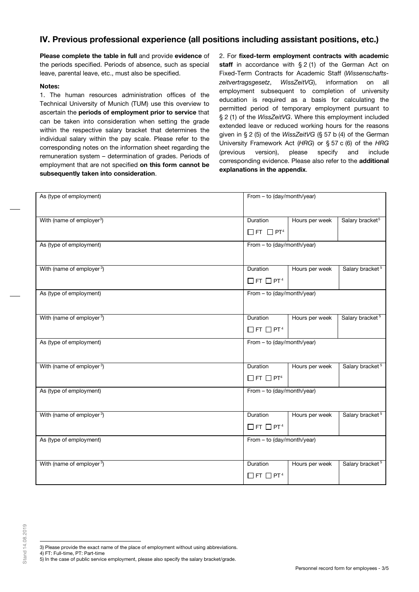# **IV. Previous professional experience (all positions including assistant positions, etc.)**

**Please complete the table in full** and provide **evidence** of the periods specified. Periods of absence, such as special leave, parental leave, etc., must also be specified.

### **Notes:**

1. The human resources administration offices of the Technical University of Munich (TUM) use this overview to ascertain the **periods of employment prior to service** that can be taken into consideration when setting the grade within the respective salary bracket that determines the individual salary within the pay scale. Please refer to the corresponding notes on the information sheet regarding the remuneration system – determination of grades. Periods of employment that are not specified **on this form cannot be subsequently taken into consideration**.

2. For **fixed-term employment contracts with academic** staff in accordance with § 2 (1) of the German Act on Fixed-Term Contracts for Academic Staff (*Wissenschaftszeitvertragsgesetz*, *WissZeitVG*), information on all employment subsequent to completion of university education is required as a basis for calculating the permitted period of temporary employment pursuant to § 2 (1) of the *WissZeitVG*. Where this employment included extended leave or reduced working hours for the reasons given in § 2 (5) of the *WissZeitVG* (§ 57 b (4) of the German University Framework Act (*HRG*) or § 57 c (6) of the *HRG* (previous version), please specify and include corresponding evidence. Please also refer to the **additional explanations in the appendix**.

| As (type of employment)               | From - to (day/month/year)                   |                |                             |
|---------------------------------------|----------------------------------------------|----------------|-----------------------------|
| With (name of employer <sup>3</sup> ) | Duration<br>$\Box$ FT $\Box$ PT <sup>4</sup> | Hours per week | Salary bracket <sup>5</sup> |
| As (type of employment)               | From - to (day/month/year)                   |                |                             |
| With (name of employer <sup>3</sup> ) | Duration<br>$\Box$ FT $\Box$ PT <sup>4</sup> | Hours per week | Salary bracket <sup>5</sup> |
| As (type of employment)               | From - to (day/month/year)                   |                |                             |
| With (name of employer <sup>3</sup> ) | Duration<br>$\Box$ FT $\Box$ PT <sup>4</sup> | Hours per week | Salary bracket <sup>5</sup> |
| As (type of employment)               | From - to (day/month/year)                   |                |                             |
| With (name of employer <sup>3</sup> ) | Duration<br>$\Box$ FT $\Box$ PT <sup>4</sup> | Hours per week | Salary bracket <sup>5</sup> |
| As (type of employment)               | From - to (day/month/year)                   |                |                             |
| With (name of employer <sup>3</sup> ) | Duration<br>$\Box$ FT $\Box$ PT <sup>4</sup> | Hours per week | Salary bracket <sup>5</sup> |
| As (type of employment)               | From - to (day/month/year)                   |                |                             |
| With (name of employer <sup>3</sup> ) | Duration<br>$\Box$ FT $\Box$ PT <sup>4</sup> | Hours per week | Salary bracket <sup>5</sup> |

- 3) Please provide the exact name of the place of employment without using abbreviations.
- <span id="page-2-2"></span><span id="page-2-1"></span><span id="page-2-0"></span>4) FT: Full-time, PT: Part-time
- 5) In the case of public service employment, please also specify the salary bracket/grade.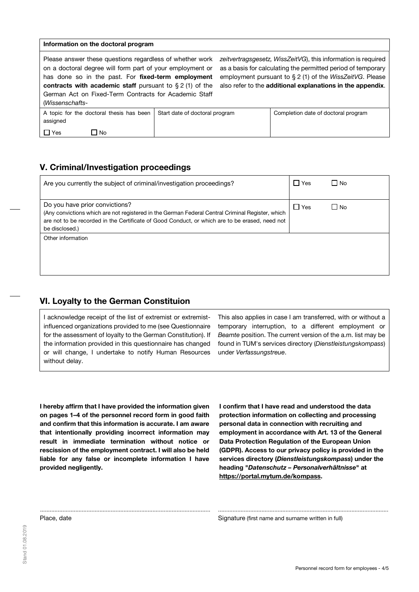#### **Information on the doctoral program**

Please answer these questions regardless of whether work on a doctoral degree will form part of your employment or has done so in the past. For **fixed-term employment contracts with academic staff** pursuant to § 2 (1) of the German Act on Fixed-Term Contracts for Academic Staff (*Wissenschafts-*

*zeitvertragsgesetz, WissZeitVG*), this information is required as a basis for calculating the permitted period of temporary employment pursuant to § 2 (1) of the *WissZeitVG*. Please also refer to the **additional explanations in the appendix**.

| $ V1335 $ $ S113 $                                   |                                |                                     |
|------------------------------------------------------|--------------------------------|-------------------------------------|
| A topic for the doctoral thesis has been<br>assigned | Start date of doctoral program | Completion date of doctoral program |
| $\Box$ Yes<br>No.                                    |                                |                                     |

## **V. Criminal/Investigation proceedings**

| Are you currently the subject of criminal/investigation proceedings?                                                                                                                                                                                   | ∣ Yes      | l No |
|--------------------------------------------------------------------------------------------------------------------------------------------------------------------------------------------------------------------------------------------------------|------------|------|
| Do you have prior convictions?<br>(Any convictions which are not registered in the German Federal Central Criminal Register, which<br>are not to be recorded in the Certificate of Good Conduct, or which are to be erased, need not<br>be disclosed.) | $\Box$ Yes | No.  |
| Other information                                                                                                                                                                                                                                      |            |      |

.......................................................................................................... ..........................................................................................................

## **VI. Loyalty to the German Constituion**

I acknowledge receipt of the list of extremist or extremistinfluenced organizations provided to me (see Questionnaire for the assessment of loyalty to the German Constitution). If the information provided in this questionnaire has changed or will change, I undertake to notify Human Resources without delay.

This also applies in case I am transferred, with or without a temporary interruption, to a different employment or *Beamte* position. The current version of the a.m. list may be found in TUM's services directory (*Dienstleistungskompass*) under *Verfassungstreue*.

**I hereby affirm that I have provided the information given on pages 1–4 of the personnel record form in good faith and confirm that this information is accurate. I am aware that intentionally providing incorrect information may result in immediate termination without notice or rescission of the employment contract. I will also be held liable for any false or incomplete information I have provided negligently.** 

**I confirm that I have read and understood the data protection information on collecting and processing personal data in connection with recruiting and employment in accordance with Art. 13 of the General Data Protection Regulation of the European Union (GDPR). Access to our privacy policy is provided in the services directory (***Dienstleistungskompass***) under the heading "***Datenschutz – Personalverhältnisse***" at [https://portal.mytum.de/kompass.](https://portal.mytum.de/kompass)**

Place, date **Signature (first name and surname written in full)** Signature (first name and surname written in full)